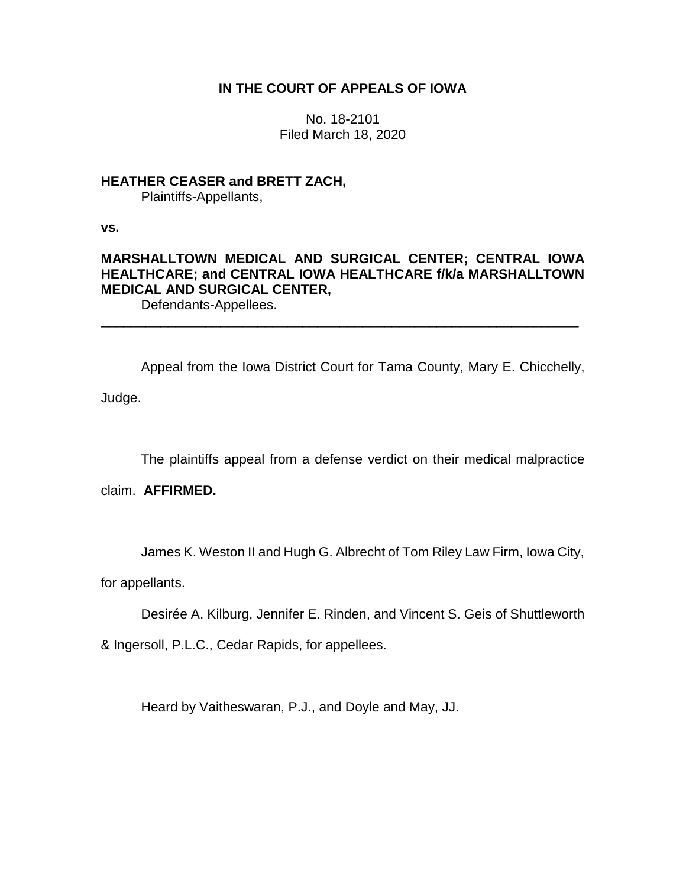## **IN THE COURT OF APPEALS OF IOWA**

No. 18-2101 Filed March 18, 2020

### **HEATHER CEASER and BRETT ZACH,** Plaintiffs-Appellants,

**vs.**

# **MARSHALLTOWN MEDICAL AND SURGICAL CENTER; CENTRAL IOWA HEALTHCARE; and CENTRAL IOWA HEALTHCARE f/k/a MARSHALLTOWN MEDICAL AND SURGICAL CENTER,**

\_\_\_\_\_\_\_\_\_\_\_\_\_\_\_\_\_\_\_\_\_\_\_\_\_\_\_\_\_\_\_\_\_\_\_\_\_\_\_\_\_\_\_\_\_\_\_\_\_\_\_\_\_\_\_\_\_\_\_\_\_\_\_\_

Defendants-Appellees.

Appeal from the Iowa District Court for Tama County, Mary E. Chicchelly, Judge.

The plaintiffs appeal from a defense verdict on their medical malpractice

claim. **AFFIRMED.**

James K. Weston II and Hugh G. Albrecht of Tom Riley Law Firm, Iowa City,

for appellants.

Desirée A. Kilburg, Jennifer E. Rinden, and Vincent S. Geis of Shuttleworth

& Ingersoll, P.L.C., Cedar Rapids, for appellees.

Heard by Vaitheswaran, P.J., and Doyle and May, JJ.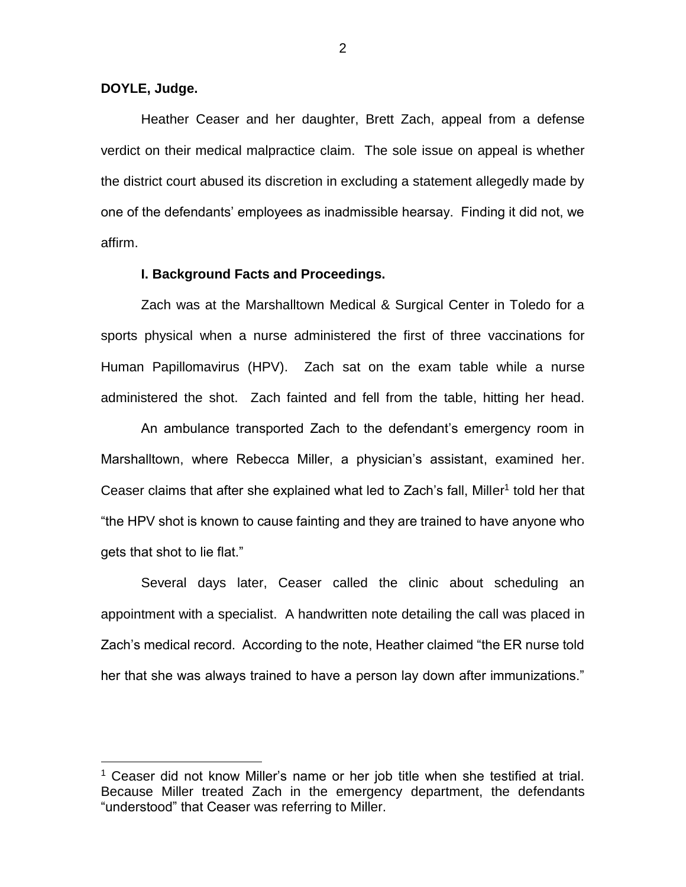#### **DOYLE, Judge.**

 $\overline{a}$ 

Heather Ceaser and her daughter, Brett Zach, appeal from a defense verdict on their medical malpractice claim. The sole issue on appeal is whether the district court abused its discretion in excluding a statement allegedly made by one of the defendants' employees as inadmissible hearsay. Finding it did not, we affirm.

#### **I. Background Facts and Proceedings.**

Zach was at the Marshalltown Medical & Surgical Center in Toledo for a sports physical when a nurse administered the first of three vaccinations for Human Papillomavirus (HPV). Zach sat on the exam table while a nurse administered the shot. Zach fainted and fell from the table, hitting her head.

An ambulance transported Zach to the defendant's emergency room in Marshalltown, where Rebecca Miller, a physician's assistant, examined her. Ceaser claims that after she explained what led to Zach's fall, Miller<sup>1</sup> told her that "the HPV shot is known to cause fainting and they are trained to have anyone who gets that shot to lie flat."

Several days later, Ceaser called the clinic about scheduling an appointment with a specialist. A handwritten note detailing the call was placed in Zach's medical record. According to the note, Heather claimed "the ER nurse told her that she was always trained to have a person lay down after immunizations."

 $1$  Ceaser did not know Miller's name or her job title when she testified at trial. Because Miller treated Zach in the emergency department, the defendants "understood" that Ceaser was referring to Miller.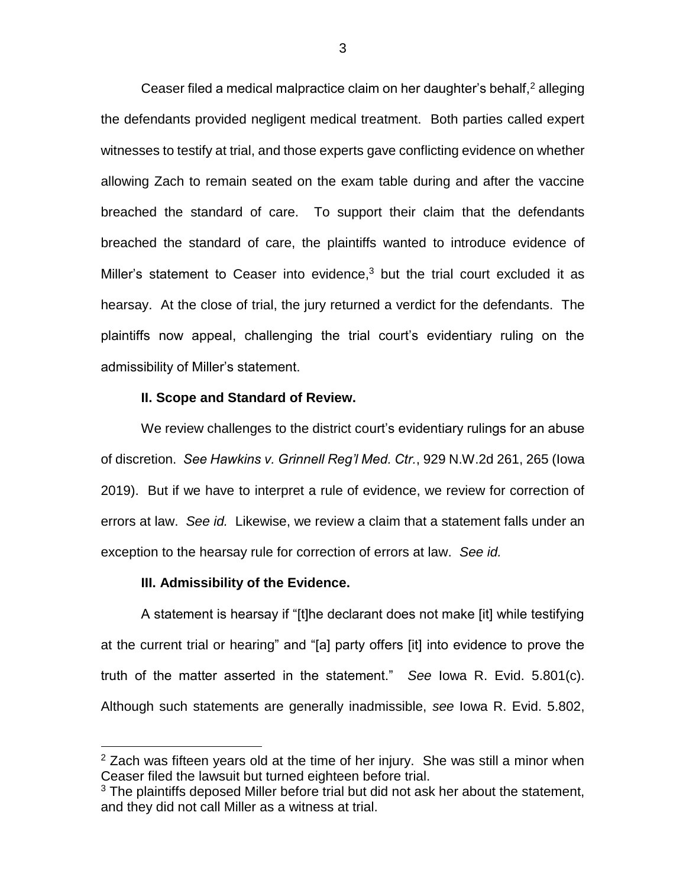Ceaser filed a medical malpractice claim on her daughter's behalf,<sup>2</sup> alleging the defendants provided negligent medical treatment. Both parties called expert witnesses to testify at trial, and those experts gave conflicting evidence on whether allowing Zach to remain seated on the exam table during and after the vaccine breached the standard of care. To support their claim that the defendants breached the standard of care, the plaintiffs wanted to introduce evidence of Miller's statement to Ceaser into evidence, $3$  but the trial court excluded it as hearsay. At the close of trial, the jury returned a verdict for the defendants. The plaintiffs now appeal, challenging the trial court's evidentiary ruling on the admissibility of Miller's statement.

### **II. Scope and Standard of Review.**

We review challenges to the district court's evidentiary rulings for an abuse of discretion. *See Hawkins v. Grinnell Reg'l Med. Ctr.*, 929 N.W.2d 261, 265 (Iowa 2019). But if we have to interpret a rule of evidence, we review for correction of errors at law. *See id.* Likewise, we review a claim that a statement falls under an exception to the hearsay rule for correction of errors at law. *See id.*

#### **III. Admissibility of the Evidence.**

 $\overline{a}$ 

A statement is hearsay if "[t]he declarant does not make [it] while testifying at the current trial or hearing" and "[a] party offers [it] into evidence to prove the truth of the matter asserted in the statement." *See* Iowa R. Evid. 5.801(c). Although such statements are generally inadmissible, *see* Iowa R. Evid. 5.802,

 $2$  Zach was fifteen years old at the time of her injury. She was still a minor when Ceaser filed the lawsuit but turned eighteen before trial.

 $3$  The plaintiffs deposed Miller before trial but did not ask her about the statement, and they did not call Miller as a witness at trial.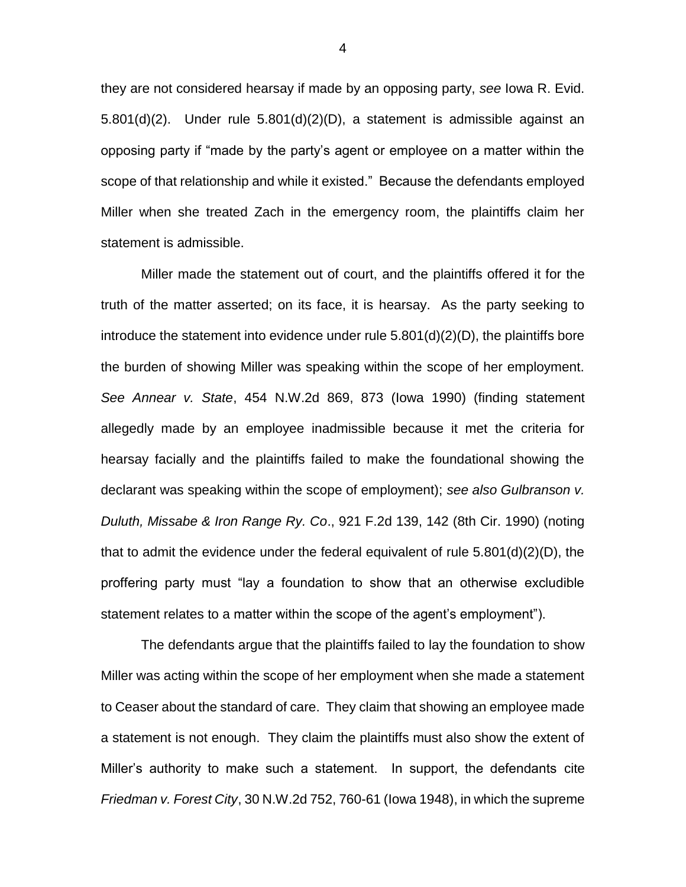they are not considered hearsay if made by an opposing party, *see* Iowa R. Evid. 5.801(d)(2). Under rule 5.801(d)(2)(D), a statement is admissible against an opposing party if "made by the party's agent or employee on a matter within the scope of that relationship and while it existed." Because the defendants employed Miller when she treated Zach in the emergency room, the plaintiffs claim her statement is admissible.

Miller made the statement out of court, and the plaintiffs offered it for the truth of the matter asserted; on its face, it is hearsay. As the party seeking to introduce the statement into evidence under rule 5.801(d)(2)(D), the plaintiffs bore the burden of showing Miller was speaking within the scope of her employment. *See Annear v. State*, 454 N.W.2d 869, 873 (Iowa 1990) (finding statement allegedly made by an employee inadmissible because it met the criteria for hearsay facially and the plaintiffs failed to make the foundational showing the declarant was speaking within the scope of employment); *see also Gulbranson v. Duluth, Missabe & Iron Range Ry. Co*., 921 F.2d 139, 142 (8th Cir. 1990) (noting that to admit the evidence under the federal equivalent of rule  $5.801(d)(2)(D)$ , the proffering party must "lay a foundation to show that an otherwise excludible statement relates to a matter within the scope of the agent's employment").

The defendants argue that the plaintiffs failed to lay the foundation to show Miller was acting within the scope of her employment when she made a statement to Ceaser about the standard of care. They claim that showing an employee made a statement is not enough. They claim the plaintiffs must also show the extent of Miller's authority to make such a statement. In support, the defendants cite *Friedman v. Forest City*, 30 N.W.2d 752, 760-61 (Iowa 1948), in which the supreme

4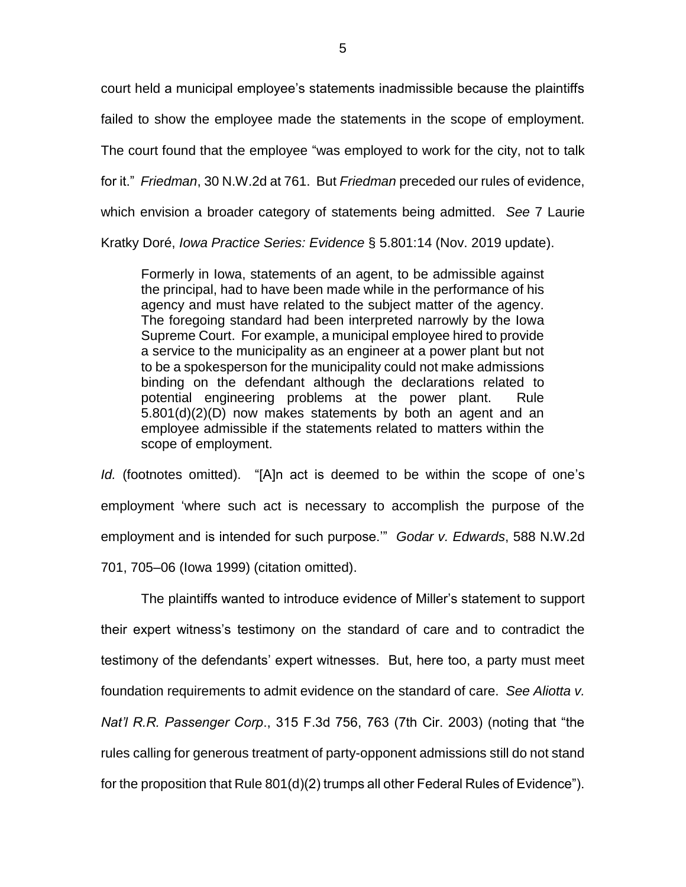court held a municipal employee's statements inadmissible because the plaintiffs failed to show the employee made the statements in the scope of employment. The court found that the employee "was employed to work for the city, not to talk for it." *Friedman*, 30 N.W.2d at 761. But *Friedman* preceded our rules of evidence, which envision a broader category of statements being admitted. *See* 7 Laurie Kratky Doré, *Iowa Practice Series: Evidence* § 5.801:14 (Nov. 2019 update).

Formerly in Iowa, statements of an agent, to be admissible against the principal, had to have been made while in the performance of his agency and must have related to the subject matter of the agency. The foregoing standard had been interpreted narrowly by the Iowa Supreme Court. For example, a municipal employee hired to provide a service to the municipality as an engineer at a power plant but not to be a spokesperson for the municipality could not make admissions binding on the defendant although the declarations related to potential engineering problems at the power plant. Rule 5.801(d)(2)(D) now makes statements by both an agent and an employee admissible if the statements related to matters within the scope of employment.

*Id.* (footnotes omitted). "[A]n act is deemed to be within the scope of one's employment 'where such act is necessary to accomplish the purpose of the employment and is intended for such purpose.'" *Godar v. Edwards*, 588 N.W.2d 701, 705–06 (Iowa 1999) (citation omitted).

The plaintiffs wanted to introduce evidence of Miller's statement to support their expert witness's testimony on the standard of care and to contradict the testimony of the defendants' expert witnesses. But, here too, a party must meet foundation requirements to admit evidence on the standard of care. *See Aliotta v. Nat'l R.R. Passenger Corp*., 315 F.3d 756, 763 (7th Cir. 2003) (noting that "the rules calling for generous treatment of party-opponent admissions still do not stand for the proposition that Rule 801(d)(2) trumps all other Federal Rules of Evidence").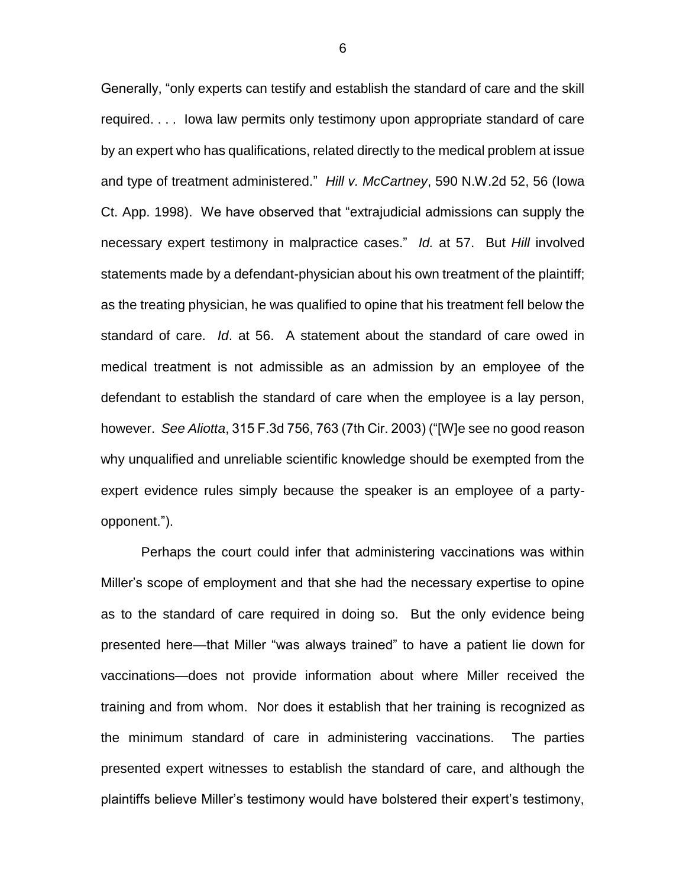Generally, "only experts can testify and establish the standard of care and the skill required. . . . Iowa law permits only testimony upon appropriate standard of care by an expert who has qualifications, related directly to the medical problem at issue and type of treatment administered." *Hill v. McCartney*, 590 N.W.2d 52, 56 (Iowa Ct. App. 1998). We have observed that "extrajudicial admissions can supply the necessary expert testimony in malpractice cases." *Id.* at 57. But *Hill* involved statements made by a defendant-physician about his own treatment of the plaintiff; as the treating physician, he was qualified to opine that his treatment fell below the standard of care. *Id*. at 56. A statement about the standard of care owed in medical treatment is not admissible as an admission by an employee of the defendant to establish the standard of care when the employee is a lay person, however. *See Aliotta*, 315 F.3d 756, 763 (7th Cir. 2003) ("[W]e see no good reason why unqualified and unreliable scientific knowledge should be exempted from the expert evidence rules simply because the speaker is an employee of a partyopponent.").

Perhaps the court could infer that administering vaccinations was within Miller's scope of employment and that she had the necessary expertise to opine as to the standard of care required in doing so. But the only evidence being presented here—that Miller "was always trained" to have a patient lie down for vaccinations—does not provide information about where Miller received the training and from whom. Nor does it establish that her training is recognized as the minimum standard of care in administering vaccinations. The parties presented expert witnesses to establish the standard of care, and although the plaintiffs believe Miller's testimony would have bolstered their expert's testimony,